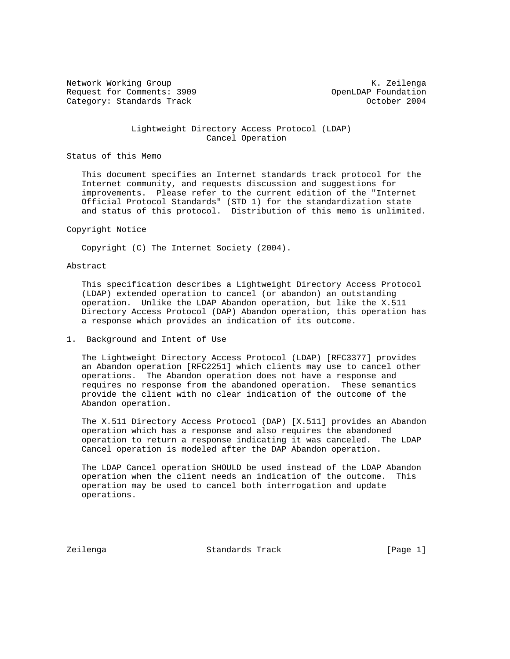Network Working Group and Months and Months and Months and Months and Months and Months and Months and Months and Months and Months and Months and Months and Months and Months and Months and Months and Months and Months an Request for Comments: 3909 OpenLDAP Foundation Category: Standards Track Category: Standards Track Category: October 2004

## Lightweight Directory Access Protocol (LDAP) Cancel Operation

# Status of this Memo

 This document specifies an Internet standards track protocol for the Internet community, and requests discussion and suggestions for improvements. Please refer to the current edition of the "Internet Official Protocol Standards" (STD 1) for the standardization state and status of this protocol. Distribution of this memo is unlimited.

### Copyright Notice

Copyright (C) The Internet Society (2004).

### Abstract

 This specification describes a Lightweight Directory Access Protocol (LDAP) extended operation to cancel (or abandon) an outstanding operation. Unlike the LDAP Abandon operation, but like the X.511 Directory Access Protocol (DAP) Abandon operation, this operation has a response which provides an indication of its outcome.

## 1. Background and Intent of Use

 The Lightweight Directory Access Protocol (LDAP) [RFC3377] provides an Abandon operation [RFC2251] which clients may use to cancel other operations. The Abandon operation does not have a response and requires no response from the abandoned operation. These semantics provide the client with no clear indication of the outcome of the Abandon operation.

 The X.511 Directory Access Protocol (DAP) [X.511] provides an Abandon operation which has a response and also requires the abandoned operation to return a response indicating it was canceled. The LDAP Cancel operation is modeled after the DAP Abandon operation.

 The LDAP Cancel operation SHOULD be used instead of the LDAP Abandon operation when the client needs an indication of the outcome. This operation may be used to cancel both interrogation and update operations.

Zeilenga Standards Track [Page 1]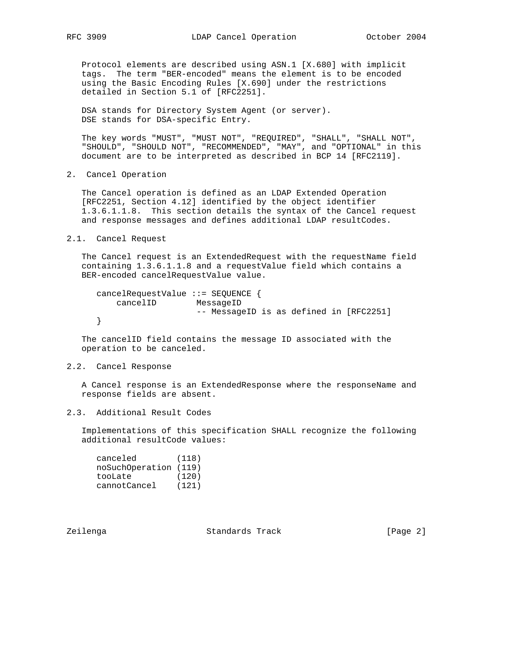Protocol elements are described using ASN.1 [X.680] with implicit tags. The term "BER-encoded" means the element is to be encoded using the Basic Encoding Rules [X.690] under the restrictions detailed in Section 5.1 of [RFC2251].

 DSA stands for Directory System Agent (or server). DSE stands for DSA-specific Entry.

 The key words "MUST", "MUST NOT", "REQUIRED", "SHALL", "SHALL NOT", "SHOULD", "SHOULD NOT", "RECOMMENDED", "MAY", and "OPTIONAL" in this document are to be interpreted as described in BCP 14 [RFC2119].

2. Cancel Operation

 The Cancel operation is defined as an LDAP Extended Operation [RFC2251, Section 4.12] identified by the object identifier 1.3.6.1.1.8. This section details the syntax of the Cancel request and response messages and defines additional LDAP resultCodes.

2.1. Cancel Request

The Cancel request is an ExtendedRequest with the requestName field containing 1.3.6.1.1.8 and a requestValue field which contains a BER-encoded cancelRequestValue value.

```
 cancelRequestValue ::= SEQUENCE {
   cancelID MessageID
                   -- MessageID is as defined in [RFC2251]
}
```
 The cancelID field contains the message ID associated with the operation to be canceled.

# 2.2. Cancel Response

 A Cancel response is an ExtendedResponse where the responseName and response fields are absent.

2.3. Additional Result Codes

 Implementations of this specification SHALL recognize the following additional resultCode values:

| canceled              | (118) |
|-----------------------|-------|
| noSuchOperation (119) |       |
| tooLate               | (120) |
| cannotCancel          | (121) |

Zeilenga Standards Track [Page 2]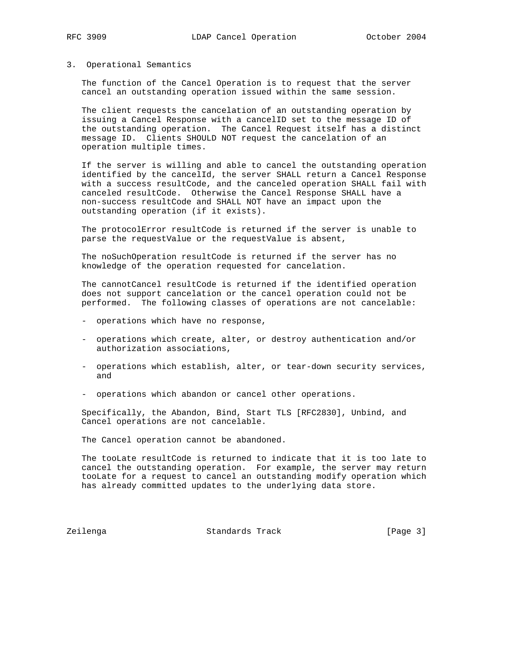### 3. Operational Semantics

 The function of the Cancel Operation is to request that the server cancel an outstanding operation issued within the same session.

 The client requests the cancelation of an outstanding operation by issuing a Cancel Response with a cancelID set to the message ID of the outstanding operation. The Cancel Request itself has a distinct message ID. Clients SHOULD NOT request the cancelation of an operation multiple times.

 If the server is willing and able to cancel the outstanding operation identified by the cancelId, the server SHALL return a Cancel Response with a success resultCode, and the canceled operation SHALL fail with canceled resultCode. Otherwise the Cancel Response SHALL have a non-success resultCode and SHALL NOT have an impact upon the outstanding operation (if it exists).

 The protocolError resultCode is returned if the server is unable to parse the requestValue or the requestValue is absent,

 The noSuchOperation resultCode is returned if the server has no knowledge of the operation requested for cancelation.

 The cannotCancel resultCode is returned if the identified operation does not support cancelation or the cancel operation could not be performed. The following classes of operations are not cancelable:

- operations which have no response,
- operations which create, alter, or destroy authentication and/or authorization associations,
- operations which establish, alter, or tear-down security services, and
- operations which abandon or cancel other operations.

 Specifically, the Abandon, Bind, Start TLS [RFC2830], Unbind, and Cancel operations are not cancelable.

The Cancel operation cannot be abandoned.

 The tooLate resultCode is returned to indicate that it is too late to cancel the outstanding operation. For example, the server may return tooLate for a request to cancel an outstanding modify operation which has already committed updates to the underlying data store.

Zeilenga Standards Track [Page 3]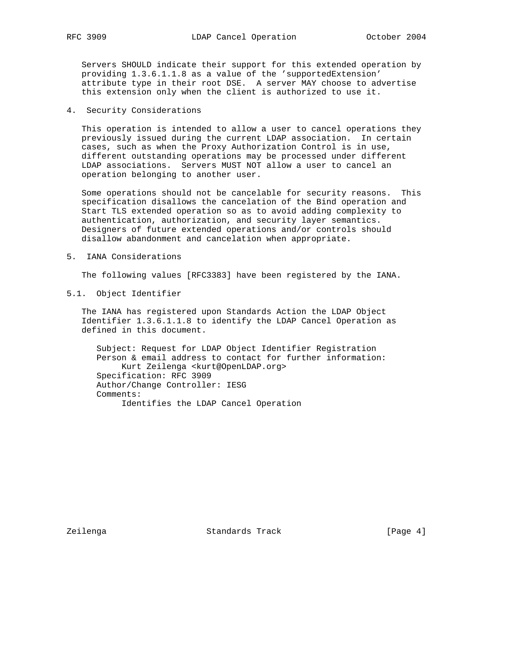Servers SHOULD indicate their support for this extended operation by providing 1.3.6.1.1.8 as a value of the 'supportedExtension' attribute type in their root DSE. A server MAY choose to advertise this extension only when the client is authorized to use it.

4. Security Considerations

 This operation is intended to allow a user to cancel operations they previously issued during the current LDAP association. In certain cases, such as when the Proxy Authorization Control is in use, different outstanding operations may be processed under different LDAP associations. Servers MUST NOT allow a user to cancel an operation belonging to another user.

 Some operations should not be cancelable for security reasons. This specification disallows the cancelation of the Bind operation and Start TLS extended operation so as to avoid adding complexity to authentication, authorization, and security layer semantics. Designers of future extended operations and/or controls should disallow abandonment and cancelation when appropriate.

5. IANA Considerations

The following values [RFC3383] have been registered by the IANA.

5.1. Object Identifier

 The IANA has registered upon Standards Action the LDAP Object Identifier 1.3.6.1.1.8 to identify the LDAP Cancel Operation as defined in this document.

 Subject: Request for LDAP Object Identifier Registration Person & email address to contact for further information: Kurt Zeilenga <kurt@OpenLDAP.org> Specification: RFC 3909 Author/Change Controller: IESG Comments: Identifies the LDAP Cancel Operation

Zeilenga Standards Track [Page 4]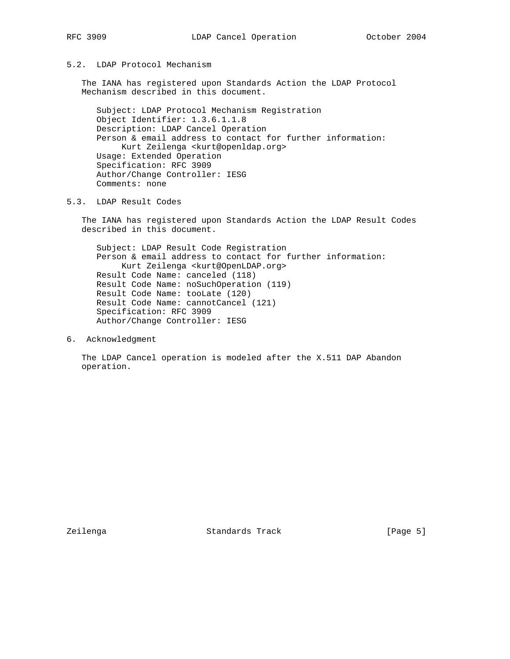# 5.2. LDAP Protocol Mechanism

 The IANA has registered upon Standards Action the LDAP Protocol Mechanism described in this document.

 Subject: LDAP Protocol Mechanism Registration Object Identifier: 1.3.6.1.1.8 Description: LDAP Cancel Operation Person & email address to contact for further information: Kurt Zeilenga <kurt@openldap.org> Usage: Extended Operation Specification: RFC 3909 Author/Change Controller: IESG Comments: none

5.3. LDAP Result Codes

 The IANA has registered upon Standards Action the LDAP Result Codes described in this document.

 Subject: LDAP Result Code Registration Person & email address to contact for further information: Kurt Zeilenga <kurt@OpenLDAP.org> Result Code Name: canceled (118) Result Code Name: noSuchOperation (119) Result Code Name: tooLate (120) Result Code Name: cannotCancel (121) Specification: RFC 3909 Author/Change Controller: IESG

6. Acknowledgment

 The LDAP Cancel operation is modeled after the X.511 DAP Abandon operation.

Zeilenga Standards Track [Page 5]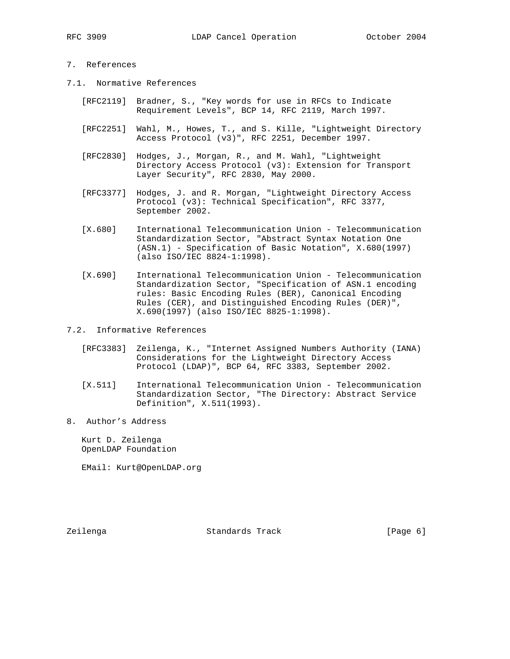# 7. References

- 7.1. Normative References
	- [RFC2119] Bradner, S., "Key words for use in RFCs to Indicate Requirement Levels", BCP 14, RFC 2119, March 1997.
	- [RFC2251] Wahl, M., Howes, T., and S. Kille, "Lightweight Directory Access Protocol (v3)", RFC 2251, December 1997.
	- [RFC2830] Hodges, J., Morgan, R., and M. Wahl, "Lightweight Directory Access Protocol (v3): Extension for Transport Layer Security", RFC 2830, May 2000.
	- [RFC3377] Hodges, J. and R. Morgan, "Lightweight Directory Access Protocol (v3): Technical Specification", RFC 3377, September 2002.
	- [X.680] International Telecommunication Union Telecommunication Standardization Sector, "Abstract Syntax Notation One (ASN.1) - Specification of Basic Notation", X.680(1997) (also ISO/IEC 8824-1:1998).
	- [X.690] International Telecommunication Union Telecommunication Standardization Sector, "Specification of ASN.1 encoding rules: Basic Encoding Rules (BER), Canonical Encoding Rules (CER), and Distinguished Encoding Rules (DER)", X.690(1997) (also ISO/IEC 8825-1:1998).
- 7.2. Informative References
	- [RFC3383] Zeilenga, K., "Internet Assigned Numbers Authority (IANA) Considerations for the Lightweight Directory Access Protocol (LDAP)", BCP 64, RFC 3383, September 2002.
	- [X.511] International Telecommunication Union Telecommunication Standardization Sector, "The Directory: Abstract Service Definition", X.511(1993).
- 8. Author's Address

 Kurt D. Zeilenga OpenLDAP Foundation

EMail: Kurt@OpenLDAP.org

Zeilenga Standards Track [Page 6]